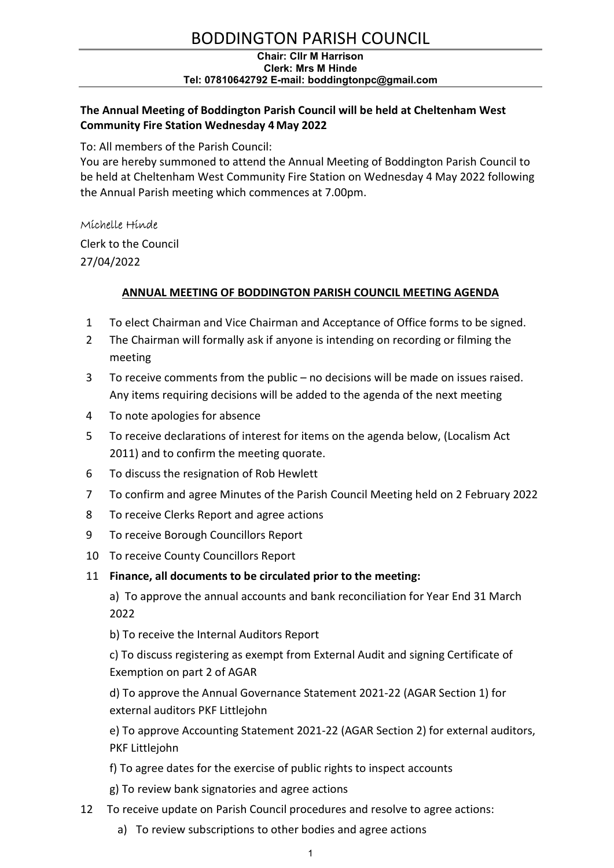# BODDINGTON PARISH COUNCIL

#### Chair: Cllr M Harrison Clerk: Mrs M Hinde Tel: 07810642792 E-mail: boddingtonpc@gmail.com

# The Annual Meeting of Boddington Parish Council will be held at Cheltenham West Community Fire Station Wednesday 4 May 2022

To: All members of the Parish Council:

You are hereby summoned to attend the Annual Meeting of Boddington Parish Council to be held at Cheltenham West Community Fire Station on Wednesday 4 May 2022 following the Annual Parish meeting which commences at 7.00pm.

## Michelle Hinde

Clerk to the Council 27/04/2022

# ANNUAL MEETING OF BODDINGTON PARISH COUNCIL MEETING AGENDA

- 1 To elect Chairman and Vice Chairman and Acceptance of Office forms to be signed.
- 2 The Chairman will formally ask if anyone is intending on recording or filming the meeting
- 3 To receive comments from the public no decisions will be made on issues raised. Any items requiring decisions will be added to the agenda of the next meeting
- 4 To note apologies for absence
- 5 To receive declarations of interest for items on the agenda below, (Localism Act 2011) and to confirm the meeting quorate.
- 6 To discuss the resignation of Rob Hewlett
- 7 To confirm and agree Minutes of the Parish Council Meeting held on 2 February 2022
- 8 To receive Clerks Report and agree actions
- 9 To receive Borough Councillors Report
- 10 To receive County Councillors Report

### 11 Finance, all documents to be circulated prior to the meeting:

 a) To approve the annual accounts and bank reconciliation for Year End 31 March 2022

b) To receive the Internal Auditors Report

c) To discuss registering as exempt from External Audit and signing Certificate of Exemption on part 2 of AGAR

d) To approve the Annual Governance Statement 2021-22 (AGAR Section 1) for external auditors PKF Littlejohn

e) To approve Accounting Statement 2021-22 (AGAR Section 2) for external auditors, PKF Littlejohn

- f) To agree dates for the exercise of public rights to inspect accounts
- g) To review bank signatories and agree actions
- 12 To receive update on Parish Council procedures and resolve to agree actions:
	- a) To review subscriptions to other bodies and agree actions